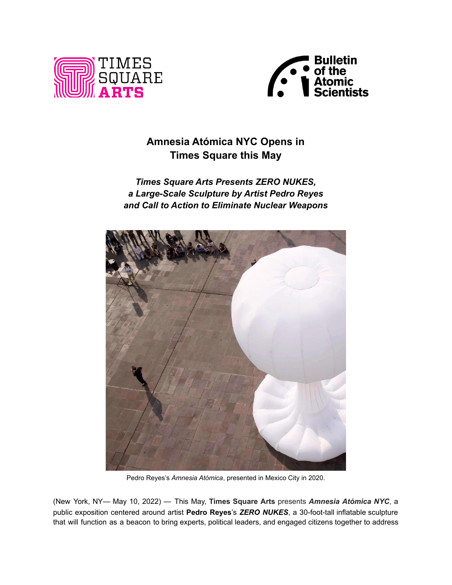



# **Amnesia Atómica NYC Opens in Times Square this May**

# *Times Square Arts Presents ZERO NUKES, a Large-Scale Sculpture by Artist Pedro Reyes and Call to Action to Eliminate Nuclear Weapons*



Pedro Reyes's *Amnesia Atómica*, presented in Mexico City in 2020.

(New York, NY— May 10, 2022) — This May, **Times Square Arts** presents *Amnesia Atómica NYC*, a public exposition centered around artist **Pedro Reyes**'s *ZERO NUKES*, a 30-foot-tall inflatable sculpture that will function as a beacon to bring experts, political leaders, and engaged citizens together to address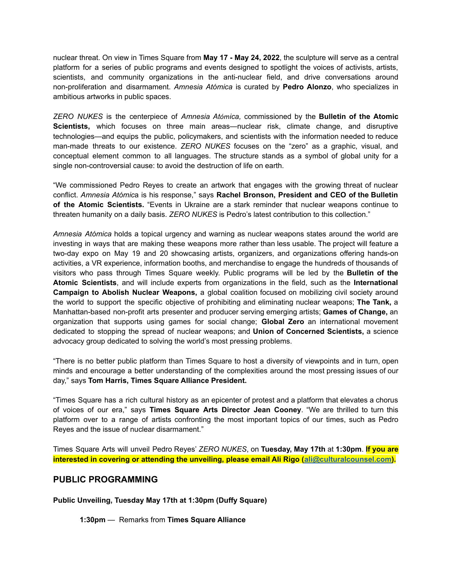nuclear threat. On view in Times Square from **May 17 - May 24, 2022**, the sculpture will serve as a central platform for a series of public programs and events designed to spotlight the voices of activists, artists, scientists, and community organizations in the anti-nuclear field, and drive conversations around non-proliferation and disarmament. *Amnesia Atómica* is curated by **Pedro Alonzo**, who specializes in ambitious artworks in public spaces.

*ZERO NUKES* is the centerpiece of *Amnesia Atómica,* commissioned by the **Bulletin of the Atomic Scientists,** which focuses on three main areas—nuclear risk, climate change, and disruptive technologies—and equips the public, policymakers, and scientists with the information needed to reduce man-made threats to our existence. *ZERO NUKES* focuses on the "zero" as a graphic, visual, and conceptual element common to all languages. The structure stands as a symbol of global unity for a single non-controversial cause: to avoid the destruction of life on earth.

"We commissioned Pedro Reyes to create an artwork that engages with the growing threat of nuclear conflict. *Amnesia Atómic*a is his response," says **Rachel Bronson, President and CEO of the Bulletin of the Atomic Scientists.** "Events in Ukraine are a stark reminder that nuclear weapons continue to threaten humanity on a daily basis. *ZERO NUKES* is Pedro's latest contribution to this collection."

*Amnesia Atómica* holds a topical urgency and warning as nuclear weapons states around the world are investing in ways that are making these weapons more rather than less usable. The project will feature a two-day expo on May 19 and 20 showcasing artists, organizers, and organizations offering hands-on activities, a VR experience, information booths, and merchandise to engage the hundreds of thousands of visitors who pass through Times Square weekly. Public programs will be led by the **Bulletin of the Atomic Scientists**, and will include experts from organizations in the field, such as the **International Campaign to Abolish Nuclear Weapons,** a global coalition focused on mobilizing civil society around the world to support the specific objective of prohibiting and eliminating nuclear weapons; **The Tank,** a Manhattan-based non-profit arts presenter and producer serving emerging artists; **Games of Change,** an organization that supports using games for social change; **Global Zero** an international movement dedicated to stopping the spread of nuclear weapons; and **Union of Concerned Scientists,** a science advocacy group dedicated to solving the world's most pressing problems.

"There is no better public platform than Times Square to host a diversity of viewpoints and in turn, open minds and encourage a better understanding of the complexities around the most pressing issues of our day," says **Tom Harris, Times Square Alliance President.**

"Times Square has a rich cultural history as an epicenter of protest and a platform that elevates a chorus of voices of our era," says **Times Square Arts Director Jean Cooney**. "We are thrilled to turn this platform over to a range of artists confronting the most important topics of our times, such as Pedro Reyes and the issue of nuclear disarmament."

Times Square Arts will unveil Pedro Reyes' *ZERO NUKES*, on **Tuesday, May 17th** at **1:30pm**. **If you are interested in covering or attending the unveiling, please email Ali Rigo [\(ali@culturalcounsel.com\)](mailto:ali@culturalcounsel.com).**

## **PUBLIC PROGRAMMING**

**Public Unveiling, Tuesday May 17th at 1:30pm (Duffy Square)**

**1:30pm** — Remarks from **Times Square Alliance**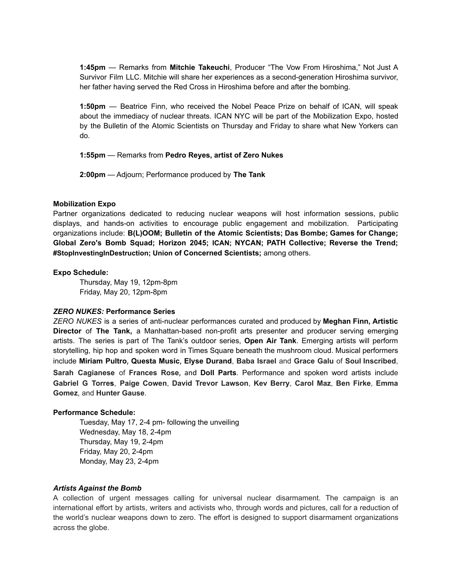**1:45pm** — Remarks from **Mitchie Takeuchi**, Producer "The Vow From Hiroshima," Not Just A Survivor Film LLC. Mitchie will share her experiences as a second-generation Hiroshima survivor, her father having served the Red Cross in Hiroshima before and after the bombing.

**1:50pm** — Beatrice Finn, who received the Nobel Peace Prize on behalf of ICAN, will speak about the immediacy of nuclear threats. ICAN NYC will be part of the Mobilization Expo, hosted by the Bulletin of the Atomic Scientists on Thursday and Friday to share what New Yorkers can do.

**1:55pm** — Remarks from **Pedro Reyes, artist of Zero Nukes**

**2:00pm** — Adjourn; Performance produced by **The Tank**

#### **Mobilization Expo**

Partner organizations dedicated to reducing nuclear weapons will host information sessions, public displays, and hands-on activities to encourage public engagement and mobilization. Participating organizations include: **B(L)OOM; Bulletin of the Atomic Scientists; Das Bombe; Games for Change; Global Zero's Bomb Squad; Horizon 2045; ICAN; NYCAN; PATH Collective; Reverse the Trend; #StopInvestingInDestruction; Union of Concerned Scientists;** among others.

#### **Expo Schedule:**

Thursday, May 19, 12pm-8pm Friday, May 20, 12pm-8pm

#### *ZERO NUKES:* **Performance Series**

*ZERO NUKES* is a series of anti-nuclear performances curated and produced by **Meghan Finn, Artistic Director** of **The Tank,** a Manhattan-based non-profit arts presenter and producer serving emerging artists. The series is part of The Tank's outdoor series, **Open Air Tank**. Emerging artists will perform storytelling, hip hop and spoken word in Times Square beneath the mushroom cloud. Musical performers include **Miriam Pultro**, **Questa Music**, **Elyse Durand**, **Baba Israel** and **Grace Galu** of **Soul Inscribed**, **Sarah Cagianese** of **Frances Rose**, and **Doll Parts**. Performance and spoken word artists include **[Gabriel](https://mailtrack.io/trace/link/10f833f408b2f17dd8516634df46dfcee015dfa2?url=https%3A%2F%2Fwww.gabrielgtorres.com%2F&userId=3383755&signature=6d4e7e7bd05fe08a) G Torres**, **Paige Cowen**, **David Trevor Lawson**, **Kev Berry**, **Carol Maz**, **Ben Firke**, **[Emma](https://mailtrack.io/trace/link/8a902cb163f75a887172cbadc719e375d93821c0?url=https%3A%2F%2Felg2167.wixsite.com%2Femmagometzportfolio%2Fabout-me&userId=3383755&signature=9cc494e05dcf73bd) [Gomez](https://mailtrack.io/trace/link/8a902cb163f75a887172cbadc719e375d93821c0?url=https%3A%2F%2Felg2167.wixsite.com%2Femmagometzportfolio%2Fabout-me&userId=3383755&signature=9cc494e05dcf73bd)**, and **Hunter Gause**.

#### **Performance Schedule:**

Tuesday, May 17, 2-4 pm- following the unveiling Wednesday, May 18, 2-4pm Thursday, May 19, 2-4pm Friday, May 20, 2-4pm Monday, May 23, 2-4pm

#### *Artists Against the Bomb*

A collection of urgent messages calling for universal nuclear disarmament. The campaign is an international effort by artists, writers and activists who, through words and pictures, call for a reduction of the world's nuclear weapons down to zero. The effort is designed to support disarmament organizations across the globe.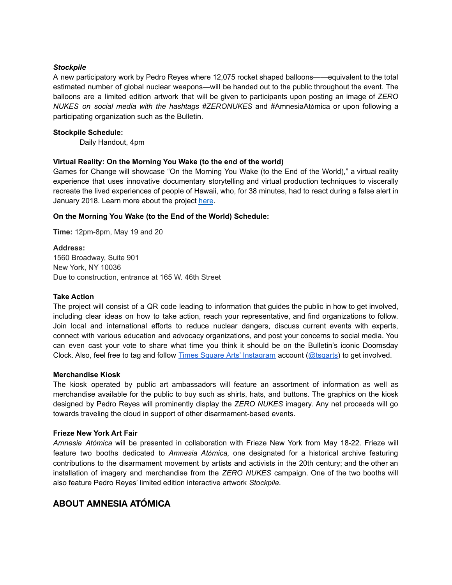#### *Stockpile*

A new participatory work by Pedro Reyes where 12,075 rocket shaped balloons——equivalent to the total estimated number of global nuclear weapons—will be handed out to the public throughout the event. The balloons are a limited edition artwork that will be given to participants upon posting an image of *ZERO NUKES on social media with the hashtags #ZERONUKES* and #AmnesiaAtómica or upon following a participating organization such as the Bulletin.

#### **Stockpile Schedule:**

Daily Handout, 4pm

#### **Virtual Reality: On the Morning You Wake (to the end of the world)**

Games for Change will showcase "On the Morning You Wake (to the End of the World)," a virtual reality experience that uses innovative documentary storytelling and virtual production techniques to viscerally recreate the lived experiences of people of Hawaii, who, for 38 minutes, had to react during a false alert in January 2018. Learn more about the project [here](https://www.onthemorningyouwake.com/#about).

#### **On the Morning You Wake (to the End of the World) Schedule:**

**Time:** 12pm-8pm, May 19 and 20

#### **Address:**

1560 Broadway, Suite 901 New York, NY 10036 Due to construction, entrance at 165 W. 46th Street

#### **Take Action**

The project will consist of a QR code leading to information that guides the public in how to get involved, including clear ideas on how to take action, reach your representative, and find organizations to follow. Join local and international efforts to reduce nuclear dangers, discuss current events with experts, connect with various education and advocacy organizations, and post your concerns to social media. You can even cast your vote to share what time you think it should be on the Bulletin's iconic Doomsday Clock. Also, feel free to tag and follow Times Square Arts' [Instagram](https://www.instagram.com/tsqarts/) account (@tsgarts) to get involved.

#### **Merchandise Kiosk**

The kiosk operated by public art ambassadors will feature an assortment of information as well as merchandise available for the public to buy such as shirts, hats, and buttons. The graphics on the kiosk designed by Pedro Reyes will prominently display the *ZERO NUKES* imagery. Any net proceeds will go towards traveling the cloud in support of other disarmament-based events.

#### **Frieze New York Art Fair**

*Amnesia Atómica* will be presented in collaboration with Frieze New York from May 18-22. Frieze will feature two booths dedicated to *Amnesia Atómica,* one designated for a historical archive featuring contributions to the disarmament movement by artists and activists in the 20th century; and the other an installation of imagery and merchandise from the *ZERO NUKES* campaign. One of the two booths will also feature Pedro Reyes' limited edition interactive artwork *Stockpile.*

# **ABOUT AMNESIA ATÓMICA**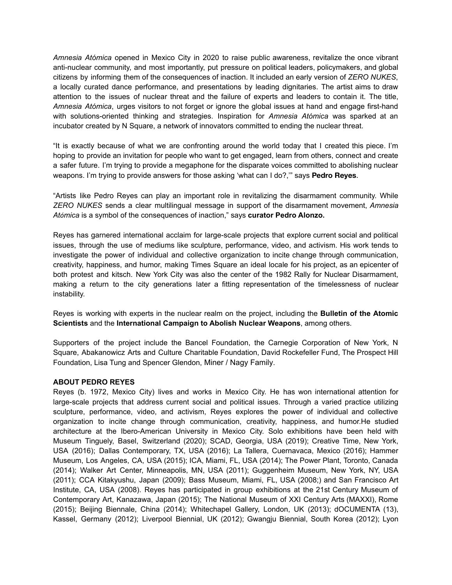*Amnesia Atómica* opened in Mexico City in 2020 to raise public awareness, revitalize the once vibrant anti-nuclear community, and most importantly, put pressure on political leaders, policymakers, and global citizens by informing them of the consequences of inaction. It included an early version of *ZERO NUKES*, a locally curated dance performance, and presentations by leading dignitaries. The artist aims to draw attention to the issues of nuclear threat and the failure of experts and leaders to contain it. The title, *Amnesia Atómica*, urges visitors to not forget or ignore the global issues at hand and engage first-hand with solutions-oriented thinking and strategies. Inspiration for *Amnesia Atómica* was sparked at an incubator created by N Square, a network of innovators committed to ending the nuclear threat.

"It is exactly because of what we are confronting around the world today that I created this piece. I'm hoping to provide an invitation for people who want to get engaged, learn from others, connect and create a safer future. I'm trying to provide a megaphone for the disparate voices committed to abolishing nuclear weapons. I'm trying to provide answers for those asking 'what can I do?,'" says **Pedro Reyes**.

"Artists like Pedro Reyes can play an important role in revitalizing the disarmament community. While *ZERO NUKES* sends a clear multilingual message in support of the disarmament movement, *Amnesia Atómica* is a symbol of the consequences of inaction," says **curator Pedro Alonzo.**

Reyes has garnered international acclaim for large-scale projects that explore current social and political issues, through the use of mediums like sculpture, performance, video, and activism. His work tends to investigate the power of individual and collective organization to incite change through communication, creativity, happiness, and humor, making Times Square an ideal locale for his project, as an epicenter of both protest and kitsch. New York City was also the center of the 1982 Rally for Nuclear Disarmament, making a return to the city generations later a fitting representation of the timelessness of nuclear instability.

Reyes is working with experts in the nuclear realm on the project, including the **Bulletin of the Atomic Scientists** and the **International Campaign to Abolish Nuclear Weapons**, among others.

Supporters of the project include the Bancel Foundation, the Carnegie Corporation of New York, N Square, Abakanowicz Arts and Culture Charitable Foundation, David Rockefeller Fund, The Prospect Hill Foundation, Lisa Tung and Spencer Glendon, Miner / Nagy Family.

#### **ABOUT PEDRO REYES**

Reyes (b. 1972, Mexico City) lives and works in Mexico City. He has won international attention for large-scale projects that address current social and political issues. Through a varied practice utilizing sculpture, performance, video, and activism, Reyes explores the power of individual and collective organization to incite change through communication, creativity, happiness, and humor.He studied architecture at the Ibero-American University in Mexico City. Solo exhibitions have been held with Museum Tinguely, Basel, Switzerland (2020); SCAD, Georgia, USA (2019); Creative Time, New York, USA (2016); Dallas Contemporary, TX, USA (2016); La Tallera, Cuernavaca, Mexico (2016); Hammer Museum, Los Angeles, CA, USA (2015); ICA, Miami, FL, USA (2014); The Power Plant, Toronto, Canada (2014); Walker Art Center, Minneapolis, MN, USA (2011); Guggenheim Museum, New York, NY, USA (2011); CCA Kitakyushu, Japan (2009); Bass Museum, Miami, FL, USA (2008;) and San Francisco Art Institute, CA, USA (2008). Reyes has participated in group exhibitions at the 21st Century Museum of Contemporary Art, Kanazawa, Japan (2015); The National Museum of XXI Century Arts (MAXXI), Rome (2015); Beijing Biennale, China (2014); Whitechapel Gallery, London, UK (2013); dOCUMENTA (13), Kassel, Germany (2012); Liverpool Biennial, UK (2012); Gwangju Biennial, South Korea (2012); Lyon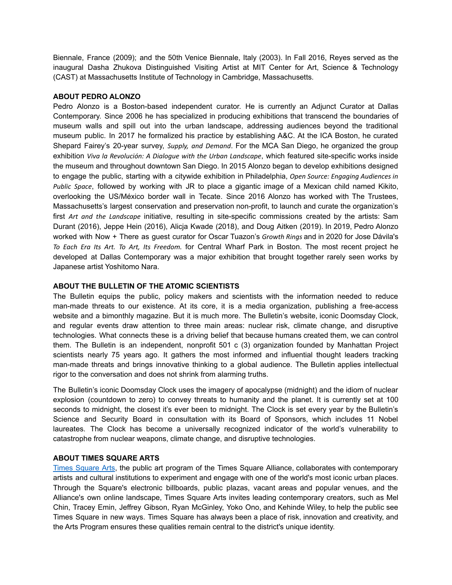Biennale, France (2009); and the 50th Venice Biennale, Italy (2003). In Fall 2016, Reyes served as the inaugural Dasha Zhukova Distinguished Visiting Artist at MIT Center for Art, Science & Technology (CAST) at Massachusetts Institute of Technology in Cambridge, Massachusetts.

#### **ABOUT PEDRO ALONZO**

Pedro Alonzo is a Boston-based independent curator. He is currently an Adjunct Curator at Dallas Contemporary. Since 2006 he has specialized in producing exhibitions that transcend the boundaries of museum walls and spill out into the urban landscape, addressing audiences beyond the traditional museum public. In 2017 he formalized his practice by establishing A&C. At the ICA Boston, he curated Shepard Fairey's 20-year survey, *Supply, and Demand*. For the MCA San Diego, he organized the group exhibition *Viva la Revolución: A Dialogue with the Urban Landscape*, which featured site-specific works inside the museum and throughout downtown San Diego. In 2015 Alonzo began to develop exhibitions designed to engage the public, starting with a citywide exhibition in Philadelphia, *Open Source: Engaging Audiences in Public Space*, followed by working with JR to place a gigantic image of a Mexican child named Kikito, overlooking the US/México border wall in Tecate. Since 2016 Alonzo has worked with The Trustees, Massachusetts's largest conservation and preservation non-profit, to launch and curate the organization's first *Art and the Landscape* initiative, resulting in site-specific commissions created by the artists: Sam Durant (2016), Jeppe Hein (2016), Alicja Kwade (2018), and Doug Aitken (2019). In 2019, Pedro Alonzo worked with Now + There as guest curator for Oscar Tuazon's *Growth Rings* and in 2020 for Jose Dávila's *To Each Era Its Art. To Art, Its Freedom.* for Central Wharf Park in Boston. The most recent project he developed at Dallas Contemporary was a major exhibition that brought together rarely seen works by Japanese artist Yoshitomo Nara.

#### **ABOUT THE BULLETIN OF THE ATOMIC SCIENTISTS**

The Bulletin equips the public, policy makers and scientists with the information needed to reduce man-made threats to our existence. At its core, it is a media organization, publishing a free-access website and a bimonthly magazine. But it is much more. The Bulletin's website, iconic Doomsday Clock, and regular events draw attention to three main areas: nuclear risk, climate change, and disruptive technologies. What connects these is a driving belief that because humans created them, we can control them. The Bulletin is an independent, nonprofit 501 c (3) organization founded by Manhattan Project scientists nearly 75 years ago. It gathers the most informed and influential thought leaders tracking man-made threats and brings innovative thinking to a global audience. The Bulletin applies intellectual rigor to the conversation and does not shrink from alarming truths.

The Bulletin's iconic Doomsday Clock uses the imagery of apocalypse (midnight) and the idiom of nuclear explosion (countdown to zero) to convey threats to humanity and the planet. It is currently set at 100 seconds to midnight, the closest it's ever been to midnight. The Clock is set every year by the Bulletin's Science and Security Board in consultation with its Board of Sponsors, which includes 11 Nobel laureates. The Clock has become a universally recognized indicator of the world's vulnerability to catastrophe from nuclear weapons, climate change, and disruptive technologies.

#### **ABOUT TIMES SQUARE ARTS**

Times [Square](http://arts.timessquarenyc.org/times-square-arts/index.aspx) Arts, the public art program of the Times Square Alliance, collaborates with contemporary artists and cultural institutions to experiment and engage with one of the world's most iconic urban places. Through the Square's electronic billboards, public plazas, vacant areas and popular venues, and the Alliance's own online landscape, Times Square Arts invites leading contemporary creators, such as Mel Chin, Tracey Emin, Jeffrey Gibson, Ryan McGinley, Yoko Ono, and Kehinde Wiley, to help the public see Times Square in new ways. Times Square has always been a place of risk, innovation and creativity, and the Arts Program ensures these qualities remain central to the district's unique identity.